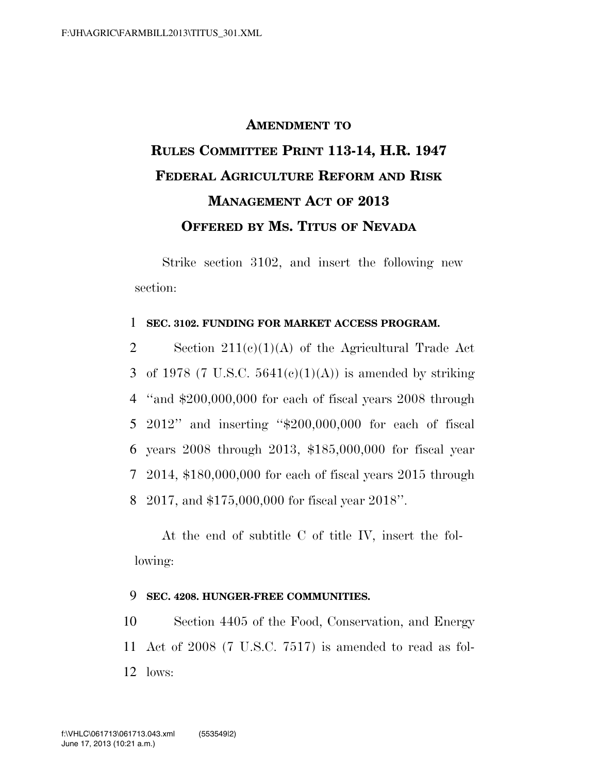## **AMENDMENT TO RULES COMMITTEE PRINT 113-14, H.R. 1947 FEDERAL AGRICULTURE REFORM AND RISK MANAGEMENT ACT OF 2013 OFFERED BY MS. TITUS OF NEVADA**

Strike section 3102, and insert the following new section:

## 1 **SEC. 3102. FUNDING FOR MARKET ACCESS PROGRAM.**

2 Section  $211(e)(1)(A)$  of the Agricultural Trade Act 3 of 1978 (7 U.S.C.  $5641(e)(1)(A)$ ) is amended by striking ''and \$200,000,000 for each of fiscal years 2008 through 2012'' and inserting ''\$200,000,000 for each of fiscal years 2008 through 2013, \$185,000,000 for fiscal year 2014, \$180,000,000 for each of fiscal years 2015 through 2017, and \$175,000,000 for fiscal year 2018''.

At the end of subtitle C of title IV, insert the following:

## 9 **SEC. 4208. HUNGER-FREE COMMUNITIES.**

10 Section 4405 of the Food, Conservation, and Energy 11 Act of 2008 (7 U.S.C. 7517) is amended to read as fol-12 lows: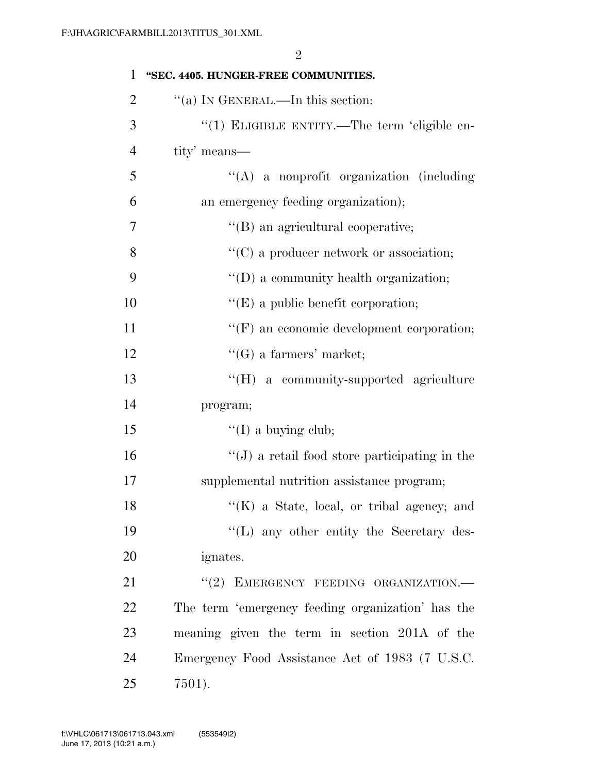| 1              | "SEC. 4405. HUNGER-FREE COMMUNITIES.              |
|----------------|---------------------------------------------------|
| $\overline{2}$ | "(a) IN GENERAL.—In this section:                 |
| 3              | "(1) ELIGIBLE ENTITY.—The term 'eligible en-      |
| $\overline{4}$ | tity' means—                                      |
| 5              | $\lq\lq$ a nonprofit organization (including      |
| 6              | an emergency feeding organization);               |
| 7              | $\lq\lq$ (B) an agricultural cooperative;         |
| 8              | $\lq\lq$ (C) a producer network or association;   |
| 9              | "(D) a community health organization;             |
| 10             | $\lq\lq(E)$ a public benefit corporation;         |
| 11             | $\lq\lq(F)$ an economic development corporation;  |
| 12             | $\lq\lq(G)$ a farmers' market;                    |
| 13             | "(H) a community-supported agriculture            |
| 14             | program;                                          |
| 15             | $\lq\lq$ (I) a buying club;                       |
| 16             | $\lq\lq$ a retail food store participating in the |
| 17             | supplemental nutrition assistance program;        |
| 18             | $\lq\lq(K)$ a State, local, or tribal agency; and |
| 19             | $\lq\lq$ . The secretary des-                     |
| 20             | <i>ignates.</i>                                   |
| 21             | "(2) EMERGENCY FEEDING ORGANIZATION.-             |
| 22             | The term 'emergency feeding organization' has the |
| 23             | meaning given the term in section 201A of the     |
| 24             | Emergency Food Assistance Act of 1983 (7 U.S.C.   |
| 25             | 7501).                                            |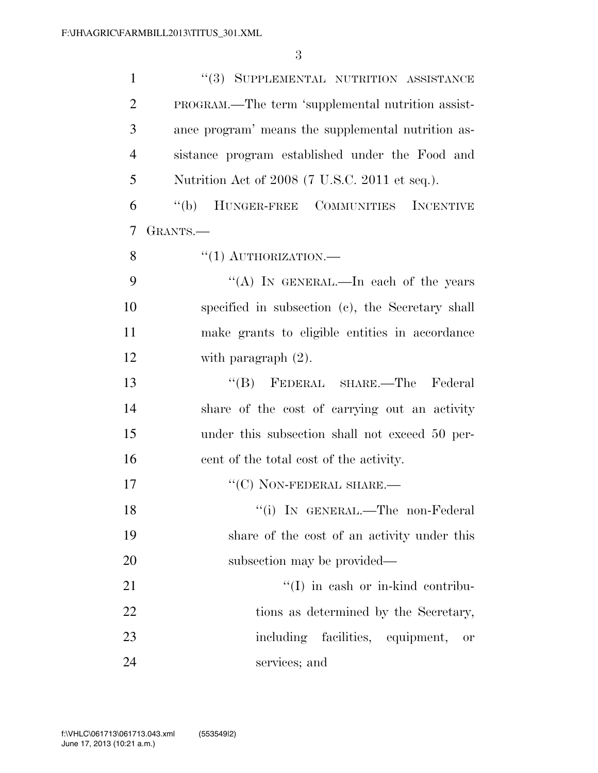| $\mathbf{1}$   | "(3) SUPPLEMENTAL NUTRITION ASSISTANCE             |
|----------------|----------------------------------------------------|
| $\overline{2}$ | PROGRAM.—The term 'supplemental nutrition assist-  |
| 3              | ance program' means the supplemental nutrition as- |
| $\overline{4}$ | sistance program established under the Food and    |
| 5              | Nutrition Act of 2008 (7 U.S.C. 2011 et seq.).     |
| 6              | "(b) HUNGER-FREE COMMUNITIES INCENTIVE             |
| 7              | GRANTS.—                                           |
| 8              | $``(1)$ AUTHORIZATION.—                            |
| 9              | "(A) IN GENERAL.—In each of the years              |
| 10             | specified in subsection (c), the Secretary shall   |
| 11             | make grants to eligible entities in accordance     |
| 12             | with paragraph $(2)$ .                             |
| 13             | "(B) FEDERAL SHARE.—The Federal                    |
| 14             | share of the cost of carrying out an activity      |
| 15             | under this subsection shall not exceed 50 per-     |
| 16             | cent of the total cost of the activity.            |
| 17             | $``(C)$ NON-FEDERAL SHARE.—                        |
| 18             | "(i) IN GENERAL.—The non-Federal                   |
| 19             | share of the cost of an activity under this        |
| 20             | subsection may be provided—                        |
| 21             | $\lq\lq$ (I) in eash or in-kind contribu-          |
| 22             | tions as determined by the Secretary,              |
| 23             | including facilities, equipment,<br><b>or</b>      |
| 24             | services; and                                      |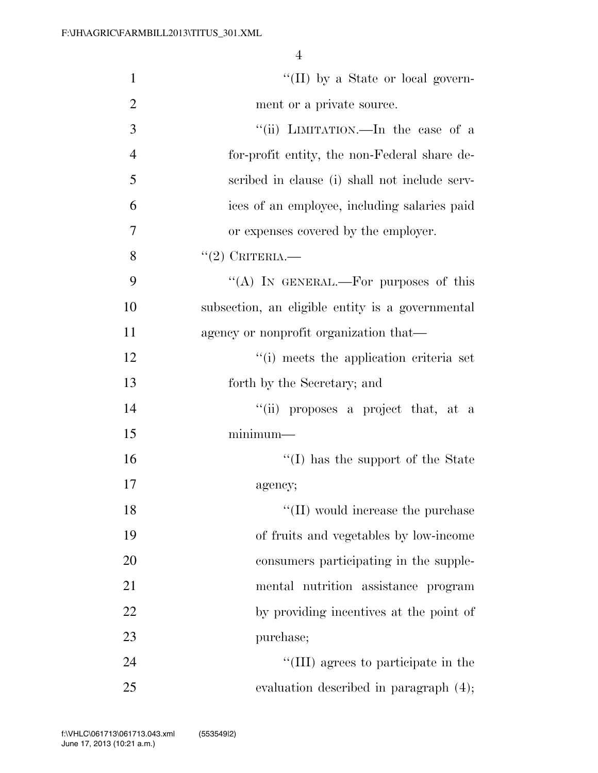| $\mathbf{1}$   | "(II) by a State or local govern-                |
|----------------|--------------------------------------------------|
| $\overline{2}$ | ment or a private source.                        |
| 3              | "(ii) LIMITATION.—In the case of a               |
| $\overline{4}$ | for-profit entity, the non-Federal share de-     |
| 5              | scribed in clause (i) shall not include serv-    |
| 6              | ices of an employee, including salaries paid     |
| 7              | or expenses covered by the employer.             |
| 8              | $``(2)$ CRITERIA.                                |
| 9              | "(A) IN GENERAL.—For purposes of this            |
| 10             | subsection, an eligible entity is a governmental |
| 11             | agency or nonprofit organization that—           |
| 12             | "(i) meets the application criteria set          |
| 13             | forth by the Secretary; and                      |
| 14             | "(ii) proposes a project that, at a              |
| 15             | $minimum-$                                       |
| 16             | $\lq\lq$ (I) has the support of the State        |
| 17             | agency;                                          |
| 18             | $\lq\lq$ (II) would increase the purchase        |
| 19             | of fruits and vegetables by low-income           |
| 20             | consumers participating in the supple-           |
| 21             | mental nutrition assistance program              |
| 22             | by providing incentives at the point of          |
| 23             | purchase;                                        |
| 24             | "(III) agrees to participate in the              |
| 25             | evaluation described in paragraph (4);           |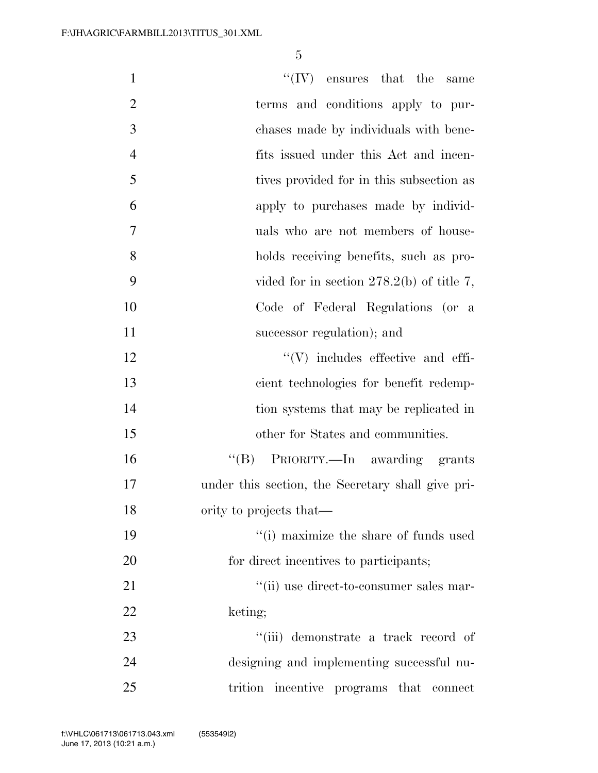| $\mathbf{1}$   | $\lq\lq$ (IV) ensures that the same               |
|----------------|---------------------------------------------------|
| $\overline{2}$ | terms and conditions apply to pur-                |
| 3              | chases made by individuals with bene-             |
| $\overline{4}$ | fits issued under this Act and incen-             |
| 5              | tives provided for in this subsection as          |
| 6              | apply to purchases made by individ-               |
| $\tau$         | uals who are not members of house-                |
| 8              | holds receiving benefits, such as pro-            |
| 9              | vided for in section $278.2(b)$ of title 7,       |
| 10             | Code of Federal Regulations (or a                 |
| 11             | successor regulation); and                        |
| 12             | $\lq\lq$ includes effective and effi-             |
| 13             | cient technologies for benefit redemp-            |
| 14             | tion systems that may be replicated in            |
| 15             | other for States and communities.                 |
| 16             | "(B) PRIORITY.—In awarding grants                 |
| 17             | under this section, the Secretary shall give pri- |
| 18             | ority to projects that—                           |
| 19             | "(i) maximize the share of funds used             |
| 20             | for direct incentives to participants;            |
| 21             | "(ii) use direct-to-consumer sales mar-           |
| 22             | keting;                                           |
| 23             | "(iii) demonstrate a track record of              |
| 24             | designing and implementing successful nu-         |
| 25             | trition incentive programs that connect           |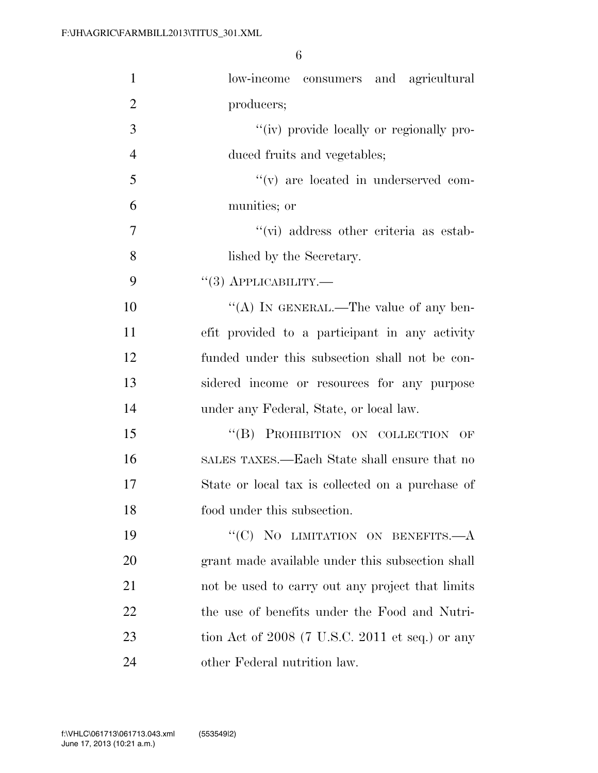| $\mathbf{1}$   | low-income consumers and agricultural             |
|----------------|---------------------------------------------------|
| $\overline{2}$ | producers;                                        |
| 3              | "(iv) provide locally or regionally pro-          |
| $\overline{4}$ | duced fruits and vegetables;                      |
| 5              | $f'(v)$ are located in underserved com-           |
| 6              | munities; or                                      |
| 7              | $\lq\lq$ (vi) address other criteria as estab-    |
| 8              | lished by the Secretary.                          |
| 9              | $``(3)$ APPLICABILITY.—                           |
| 10             | "(A) IN GENERAL.—The value of any ben-            |
| 11             | efit provided to a participant in any activity    |
| 12             | funded under this subsection shall not be con-    |
| 13             | sidered income or resources for any purpose       |
| 14             | under any Federal, State, or local law.           |
| 15             | "(B) PROHIBITION ON COLLECTION OF                 |
| 16             | SALES TAXES.—Each State shall ensure that no      |
| 17             | State or local tax is collected on a purchase of  |
| 18             | food under this subsection.                       |
| 19             | "(C) NO LIMITATION ON BENEFITS.—A                 |
| 20             | grant made available under this subsection shall  |
| 21             | not be used to carry out any project that limits  |
| 22             | the use of benefits under the Food and Nutri-     |
| 23             | tion Act of $2008$ (7 U.S.C. 2011 et seq.) or any |
| 24             | other Federal nutrition law.                      |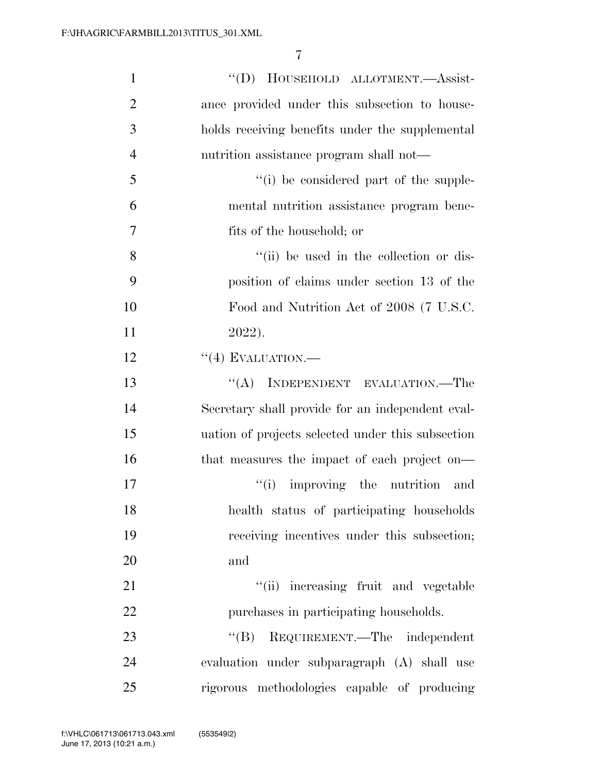| $\mathbf{1}$   | "(D) HOUSEHOLD ALLOTMENT.—Assist-                 |
|----------------|---------------------------------------------------|
| $\overline{2}$ | ance provided under this subsection to house-     |
| 3              | holds receiving benefits under the supplemental   |
| $\overline{4}$ | nutrition assistance program shall not—           |
| 5              | "(i) be considered part of the supple-            |
| 6              | mental nutrition assistance program bene-         |
| $\overline{7}$ | fits of the household; or                         |
| 8              | "(ii) be used in the collection or dis-           |
| 9              | position of claims under section 13 of the        |
| 10             | Food and Nutrition Act of 2008 (7 U.S.C.          |
| 11             | 2022).                                            |
| 12             | $``(4)$ EVALUATION.—                              |
| 13             | "(A) INDEPENDENT EVALUATION.—The                  |
| 14             | Secretary shall provide for an independent eval-  |
| 15             | uation of projects selected under this subsection |
| 16             | that measures the impact of each project on—      |
| 17             | "(i) improving the nutrition and                  |
| 18             | health status of participating households         |
| 19             | receiving incentives under this subsection;       |
| 20             | and                                               |
| 21             | "(ii) increasing fruit and vegetable              |
| 22             | purchases in participating households.            |
| 23             | "(B) REQUIREMENT.—The independent                 |
| 24             | evaluation under subparagraph (A) shall use       |
| 25             | rigorous methodologies capable of producing       |